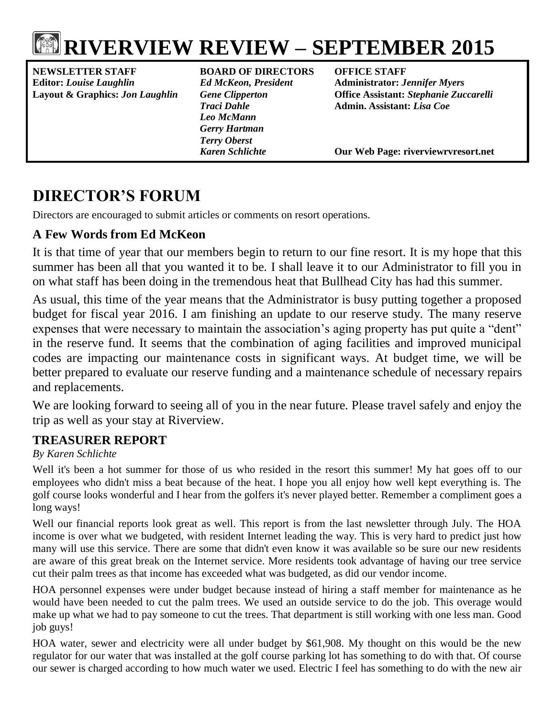

# **RIVERVIEW REVIEW – SEPTEMBER 2015**

**NEWSLETTER STAFF BOARD OF DIRECTORS OFFICE STAFF Editor:** *Louise Laughlin Ed McKeon, President* **Administrator:** *Jennifer Myers*

*Leo McMann Gerry Hartman Terry Oberst*

**Layout & Graphics:** *Jon Laughlin Gene Clipperton* **Office Assistant:** *Stephanie Zuccarelli Traci Dahle* **Admin. Assistant:** *Lisa Coe*

*Karen Schlichte* **Our Web Page: riverviewrvresort.net**

## **DIRECTOR'S FORUM**

Directors are encouraged to submit articles or comments on resort operations.

#### **A Few Words from Ed McKeon**

It is that time of year that our members begin to return to our fine resort. It is my hope that this summer has been all that you wanted it to be. I shall leave it to our Administrator to fill you in on what staff has been doing in the tremendous heat that Bullhead City has had this summer.

As usual, this time of the year means that the Administrator is busy putting together a proposed budget for fiscal year 2016. I am finishing an update to our reserve study. The many reserve expenses that were necessary to maintain the association's aging property has put quite a "dent" in the reserve fund. It seems that the combination of aging facilities and improved municipal codes are impacting our maintenance costs in significant ways. At budget time, we will be better prepared to evaluate our reserve funding and a maintenance schedule of necessary repairs and replacements.

We are looking forward to seeing all of you in the near future. Please travel safely and enjoy the trip as well as your stay at Riverview.

#### **TREASURER REPORT**

#### *By Karen Schlichte*

Well it's been a hot summer for those of us who resided in the resort this summer! My hat goes off to our employees who didn't miss a beat because of the heat. I hope you all enjoy how well kept everything is. The golf course looks wonderful and I hear from the golfers it's never played better. Remember a compliment goes a long ways!

Well our financial reports look great as well. This report is from the last newsletter through July. The HOA income is over what we budgeted, with resident Internet leading the way. This is very hard to predict just how many will use this service. There are some that didn't even know it was available so be sure our new residents are aware of this great break on the Internet service. More residents took advantage of having our tree service cut their palm trees as that income has exceeded what was budgeted, as did our vendor income.

HOA personnel expenses were under budget because instead of hiring a staff member for maintenance as he would have been needed to cut the palm trees. We used an outside service to do the job. This overage would make up what we had to pay someone to cut the trees. That department is still working with one less man. Good job guys!

HOA water, sewer and electricity were all under budget by \$61,908. My thought on this would be the new regulator for our water that was installed at the golf course parking lot has something to do with that. Of course our sewer is charged according to how much water we used. Electric I feel has something to do with the new air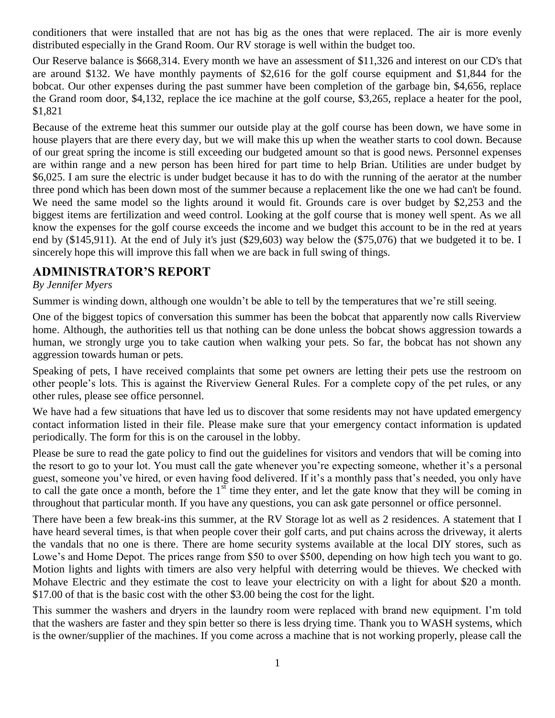conditioners that were installed that are not has big as the ones that were replaced. The air is more evenly distributed especially in the Grand Room. Our RV storage is well within the budget too.

Our Reserve balance is \$668,314. Every month we have an assessment of \$11,326 and interest on our CD's that are around \$132. We have monthly payments of \$2,616 for the golf course equipment and \$1,844 for the bobcat. Our other expenses during the past summer have been completion of the garbage bin, \$4,656, replace the Grand room door, \$4,132, replace the ice machine at the golf course, \$3,265, replace a heater for the pool, \$1,821

Because of the extreme heat this summer our outside play at the golf course has been down, we have some in house players that are there every day, but we will make this up when the weather starts to cool down. Because of our great spring the income is still exceeding our budgeted amount so that is good news. Personnel expenses are within range and a new person has been hired for part time to help Brian. Utilities are under budget by \$6,025. I am sure the electric is under budget because it has to do with the running of the aerator at the number three pond which has been down most of the summer because a replacement like the one we had can't be found. We need the same model so the lights around it would fit. Grounds care is over budget by \$2,253 and the biggest items are fertilization and weed control. Looking at the golf course that is money well spent. As we all know the expenses for the golf course exceeds the income and we budget this account to be in the red at years end by (\$145,911). At the end of July it's just (\$29,603) way below the (\$75,076) that we budgeted it to be. I sincerely hope this will improve this fall when we are back in full swing of things.

#### **ADMINISTRATOR'S REPORT**

#### *By Jennifer Myers*

Summer is winding down, although one wouldn't be able to tell by the temperatures that we're still seeing.

One of the biggest topics of conversation this summer has been the bobcat that apparently now calls Riverview home. Although, the authorities tell us that nothing can be done unless the bobcat shows aggression towards a human, we strongly urge you to take caution when walking your pets. So far, the bobcat has not shown any aggression towards human or pets.

Speaking of pets, I have received complaints that some pet owners are letting their pets use the restroom on other people's lots. This is against the Riverview General Rules. For a complete copy of the pet rules, or any other rules, please see office personnel.

We have had a few situations that have led us to discover that some residents may not have updated emergency contact information listed in their file. Please make sure that your emergency contact information is updated periodically. The form for this is on the carousel in the lobby.

Please be sure to read the gate policy to find out the guidelines for visitors and vendors that will be coming into the resort to go to your lot. You must call the gate whenever you're expecting someone, whether it's a personal guest, someone you've hired, or even having food delivered. If it's a monthly pass that's needed, you only have to call the gate once a month, before the  $1<sup>st</sup>$  time they enter, and let the gate know that they will be coming in throughout that particular month. If you have any questions, you can ask gate personnel or office personnel.

There have been a few break-ins this summer, at the RV Storage lot as well as 2 residences. A statement that I have heard several times, is that when people cover their golf carts, and put chains across the driveway, it alerts the vandals that no one is there. There are home security systems available at the local DIY stores, such as Lowe's and Home Depot. The prices range from \$50 to over \$500, depending on how high tech you want to go. Motion lights and lights with timers are also very helpful with deterring would be thieves. We checked with Mohave Electric and they estimate the cost to leave your electricity on with a light for about \$20 a month. \$17.00 of that is the basic cost with the other \$3.00 being the cost for the light.

This summer the washers and dryers in the laundry room were replaced with brand new equipment. I'm told that the washers are faster and they spin better so there is less drying time. Thank you to WASH systems, which is the owner/supplier of the machines. If you come across a machine that is not working properly, please call the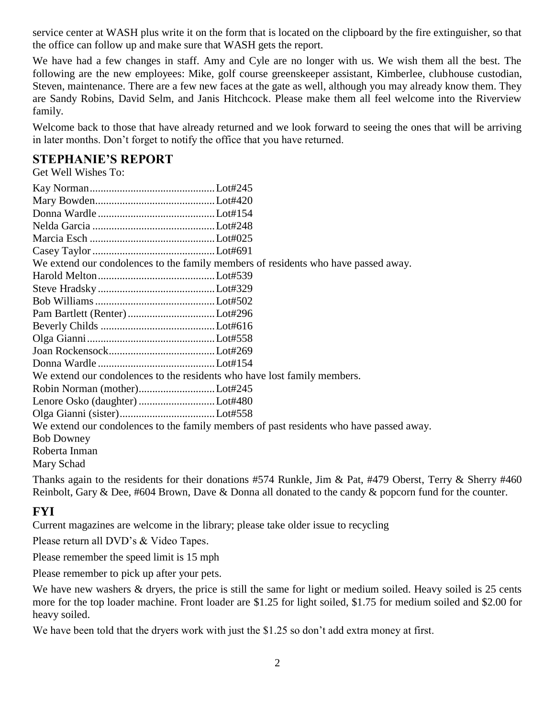service center at WASH plus write it on the form that is located on the clipboard by the fire extinguisher, so that the office can follow up and make sure that WASH gets the report.

We have had a few changes in staff. Amy and Cyle are no longer with us. We wish them all the best. The following are the new employees: Mike, golf course greenskeeper assistant, Kimberlee, clubhouse custodian, Steven, maintenance. There are a few new faces at the gate as well, although you may already know them. They are Sandy Robins, David Selm, and Janis Hitchcock. Please make them all feel welcome into the Riverview family.

Welcome back to those that have already returned and we look forward to seeing the ones that will be arriving in later months. Don't forget to notify the office that you have returned.

#### **STEPHANIE'S REPORT**

Get Well Wishes To:

|                               | We extend our condolences to the family members of residents who have passed away.      |
|-------------------------------|-----------------------------------------------------------------------------------------|
|                               |                                                                                         |
|                               |                                                                                         |
|                               |                                                                                         |
| Pam Bartlett (Renter) Lot#296 |                                                                                         |
|                               |                                                                                         |
|                               |                                                                                         |
|                               |                                                                                         |
|                               |                                                                                         |
|                               | We extend our condolences to the residents who have lost family members.                |
| Robin Norman (mother)Lot#245  |                                                                                         |
|                               |                                                                                         |
|                               |                                                                                         |
|                               | We extend our condolences to the family members of past residents who have passed away. |
| <b>Bob Downey</b>             |                                                                                         |
| Roberta Inman                 |                                                                                         |
| Mary Schad                    |                                                                                         |

Thanks again to the residents for their donations #574 Runkle, Jim & Pat, #479 Oberst, Terry & Sherry #460 Reinbolt, Gary & Dee, #604 Brown, Dave & Donna all donated to the candy & popcorn fund for the counter.

#### **FYI**

Current magazines are welcome in the library; please take older issue to recycling

Please return all DVD's & Video Tapes.

Please remember the speed limit is 15 mph

Please remember to pick up after your pets.

We have new washers & dryers, the price is still the same for light or medium soiled. Heavy soiled is 25 cents more for the top loader machine. Front loader are \$1.25 for light soiled, \$1.75 for medium soiled and \$2.00 for heavy soiled.

We have been told that the dryers work with just the \$1.25 so don't add extra money at first.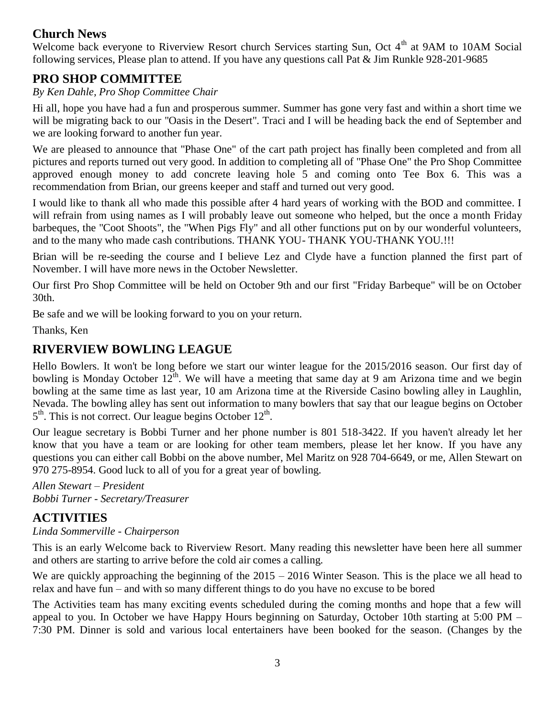#### **Church News**

Welcome back everyone to Riverview Resort church Services starting Sun, Oct 4<sup>th</sup> at 9AM to 10AM Social following services, Please plan to attend. If you have any questions call Pat & Jim Runkle 928-201-9685

#### **PRO SHOP COMMITTEE**

#### *By Ken Dahle, Pro Shop Committee Chair*

Hi all, hope you have had a fun and prosperous summer. Summer has gone very fast and within a short time we will be migrating back to our "Oasis in the Desert". Traci and I will be heading back the end of September and we are looking forward to another fun year.

We are pleased to announce that "Phase One" of the cart path project has finally been completed and from all pictures and reports turned out very good. In addition to completing all of "Phase One" the Pro Shop Committee approved enough money to add concrete leaving hole 5 and coming onto Tee Box 6. This was a recommendation from Brian, our greens keeper and staff and turned out very good.

I would like to thank all who made this possible after 4 hard years of working with the BOD and committee. I will refrain from using names as I will probably leave out someone who helped, but the once a month Friday barbeques, the "Coot Shoots", the "When Pigs Fly" and all other functions put on by our wonderful volunteers, and to the many who made cash contributions. THANK YOU- THANK YOU-THANK YOU.!!!

Brian will be re-seeding the course and I believe Lez and Clyde have a function planned the first part of November. I will have more news in the October Newsletter.

Our first Pro Shop Committee will be held on October 9th and our first "Friday Barbeque" will be on October 30th.

Be safe and we will be looking forward to you on your return.

Thanks, Ken

#### **RIVERVIEW BOWLING LEAGUE**

Hello Bowlers. It won't be long before we start our winter league for the 2015/2016 season. Our first day of bowling is Monday October  $12^{th}$ . We will have a meeting that same day at 9 am Arizona time and we begin bowling at the same time as last year, 10 am Arizona time at the Riverside Casino bowling alley in Laughlin, Nevada. The bowling alley has sent out information to many bowlers that say that our league begins on October 5<sup>th</sup>. This is not correct. Our league begins October 12<sup>th</sup>.

Our league secretary is Bobbi Turner and her phone number is 801 518-3422. If you haven't already let her know that you have a team or are looking for other team members, please let her know. If you have any questions you can either call Bobbi on the above number, Mel Maritz on 928 704-6649, or me, Allen Stewart on 970 275-8954. Good luck to all of you for a great year of bowling.

*Allen Stewart – President Bobbi Turner - Secretary/Treasurer*

#### **ACTIVITIES**

#### *Linda Sommerville - Chairperson*

This is an early Welcome back to Riverview Resort. Many reading this newsletter have been here all summer and others are starting to arrive before the cold air comes a calling.

We are quickly approaching the beginning of the  $2015 - 2016$  Winter Season. This is the place we all head to relax and have fun – and with so many different things to do you have no excuse to be bored

The Activities team has many exciting events scheduled during the coming months and hope that a few will appeal to you. In October we have Happy Hours beginning on Saturday, October 10th starting at 5:00 PM – 7:30 PM. Dinner is sold and various local entertainers have been booked for the season. (Changes by the